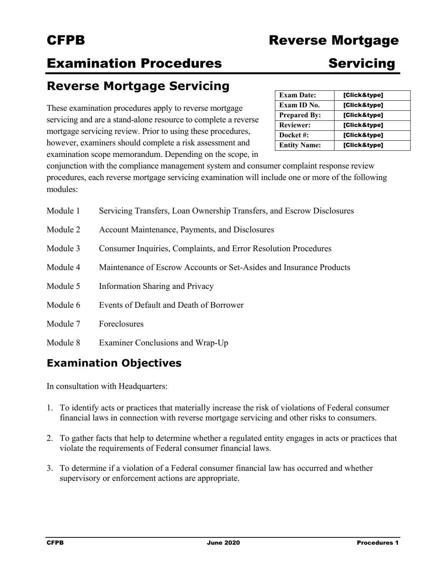# CFPB Reverse Mortgage

# **Examination Procedures Servicing**

## **Reverse Mortgage Servicing**

These examination procedures apply to reverse mortgage servicing and are a stand-alone resource to complete a reverse mortgage servicing review. Prior to using these procedures, however, examiners should complete a risk assessment and examination scope memorandum. Depending on the scope, in

| <b>Exam Date:</b>   | [Click&type] |
|---------------------|--------------|
| Exam ID No.         | [Click&type] |
| <b>Prepared By:</b> | [Click&type] |
| <b>Reviewer:</b>    | [Click&type] |
| Docket #:           | [Click&type] |
| <b>Entity Name:</b> | [Click&type] |

conjunction with the compliance management system and consumer complaint response review procedures, each reverse mortgage servicing examination will include one or more of the following modules:

| Module 1 | Servicing Transfers, Loan Ownership Transfers, and Escrow Disclosures |
|----------|-----------------------------------------------------------------------|
| Module 2 | Account Maintenance, Payments, and Disclosures                        |
| Module 3 | Consumer Inquiries, Complaints, and Error Resolution Procedures       |
| Module 4 | Maintenance of Escrow Accounts or Set-Asides and Insurance Products   |
| Module 5 | <b>Information Sharing and Privacy</b>                                |
| Module 6 | Events of Default and Death of Borrower                               |
| Module 7 | Foreclosures                                                          |
| Module 8 | Examiner Conclusions and Wrap-Up                                      |

## **Examination Objectives**

In consultation with Headquarters:

- 1. To identify acts or practices that materially increase the risk of violations of Federal consumer financial laws in connection with reverse mortgage servicing and other risks to consumers.
- 2. To gather facts that help to determine whether a regulated entity engages in acts or practices that violate the requirements of Federal consumer financial laws.
- 3. To determine if a violation of a Federal consumer financial law has occurred and whether supervisory or enforcement actions are appropriate.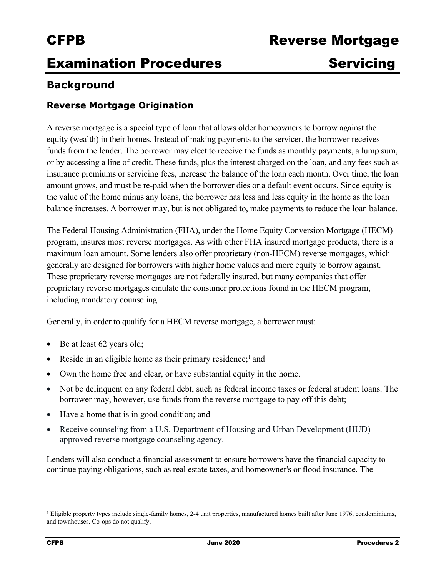## **Examination Procedures Servicing**

## **Background**

## **Reverse Mortgage Origination**

A reverse mortgage is a special type of loan that allows older homeowners to borrow against the equity (wealth) in their homes. Instead of making payments to the servicer, the borrower receives funds from the lender. The borrower may elect to receive the funds as monthly payments, a lump sum, or by accessing a line of credit. These funds, plus the interest charged on the loan, and any fees such as insurance premiums or servicing fees, increase the balance of the loan each month. Over time, the loan amount grows, and must be re-paid when the borrower dies or a default event occurs. Since equity is the value of the home minus any loans, the borrower has less and less equity in the home as the loan balance increases. A borrower may, but is not obligated to, make payments to reduce the loan balance.

The Federal Housing Administration (FHA), under the Home Equity Conversion Mortgage (HECM) program, insures most reverse mortgages. As with other FHA insured mortgage products, there is a maximum loan amount. Some lenders also offer proprietary (non-HECM) reverse mortgages, which generally are designed for borrowers with higher home values and more equity to borrow against. These proprietary reverse mortgages are not federally insured, but many companies that offer proprietary reverse mortgages emulate the consumer protections found in the HECM program, including mandatory counseling.

Generally, in order to qualify for a HECM reverse mortgage, a borrower must:

• Be at least 62 years old;

- Reside in an eligible home as their primary residence;<sup>1</sup> and
- Own the home free and clear, or have substantial equity in the home.
- Not be delinquent on any federal debt, such as federal income taxes or federal student loans. The borrower may, however, use funds from the reverse mortgage to pay off this debt;
- Have a home that is in good condition; and
- Receive counseling from a U.S. Department of Housing and Urban Development (HUD) approved reverse mortgage counseling agency.

Lenders will also conduct a financial assessment to ensure borrowers have the financial capacity to continue paying obligations, such as real estate taxes, and homeowner's or flood insurance. The

<sup>1</sup> Eligible property types include single-family homes, 2-4 unit properties, manufactured homes built after June 1976, condominiums, and townhouses. Co-ops do not qualify.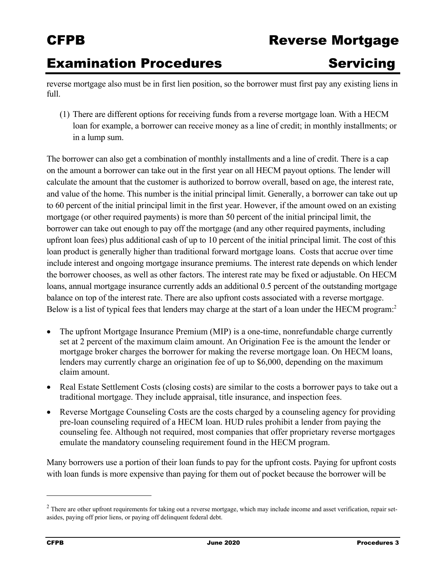## CFPB Reverse Mortgage

## **Examination Procedures Servicing**

reverse mortgage also must be in first lien position, so the borrower must first pay any existing liens in full.

(1) There are different options for receiving funds from a reverse mortgage loan. With a HECM loan for example, a borrower can receive money as a line of credit; in monthly installments; or in a lump sum.

The borrower can also get a combination of monthly installments and a line of credit. There is a cap on the amount a borrower can take out in the first year on all HECM payout options. The lender will calculate the amount that the customer is authorized to borrow overall, based on age, the interest rate, and value of the home. This number is the initial principal limit. Generally, a borrower can take out up to 60 percent of the initial principal limit in the first year. However, if the amount owed on an existing mortgage (or other required payments) is more than 50 percent of the initial principal limit, the borrower can take out enough to pay off the mortgage (and any other required payments, including upfront loan fees) plus additional cash of up to 10 percent of the initial principal limit. The cost of this loan product is generally higher than traditional forward mortgage loans. Costs that accrue over time include interest and ongoing mortgage insurance premiums. The interest rate depends on which lender the borrower chooses, as well as other factors. The interest rate may be fixed or adjustable. On HECM loans, annual mortgage insurance currently adds an additional 0.5 percent of the outstanding mortgage balance on top of the interest rate. There are also upfront costs associated with a reverse mortgage. Below is a list of typical fees that lenders may charge at the start of a loan under the HECM program:<sup>2</sup>

- The upfront Mortgage Insurance Premium (MIP) is a one-time, nonrefundable charge currently set at 2 percent of the maximum claim amount. An Origination Fee is the amount the lender or mortgage broker charges the borrower for making the reverse mortgage loan. On HECM loans, lenders may currently charge an origination fee of up to \$6,000, depending on the maximum claim amount.
- Real Estate Settlement Costs (closing costs) are similar to the costs a borrower pays to take out a traditional mortgage. They include appraisal, title insurance, and inspection fees.
- Reverse Mortgage Counseling Costs are the costs charged by a counseling agency for providing pre-loan counseling required of a HECM loan. HUD rules prohibit a lender from paying the counseling fee. Although not required, most companies that offer proprietary reverse mortgages emulate the mandatory counseling requirement found in the HECM program.

Many borrowers use a portion of their loan funds to pay for the upfront costs. Paying for upfront costs with loan funds is more expensive than paying for them out of pocket because the borrower will be

 $2$  There are other upfront requirements for taking out a reverse mortgage, which may include income and asset verification, repair setasides, paying off prior liens, or paying off delinquent federal debt.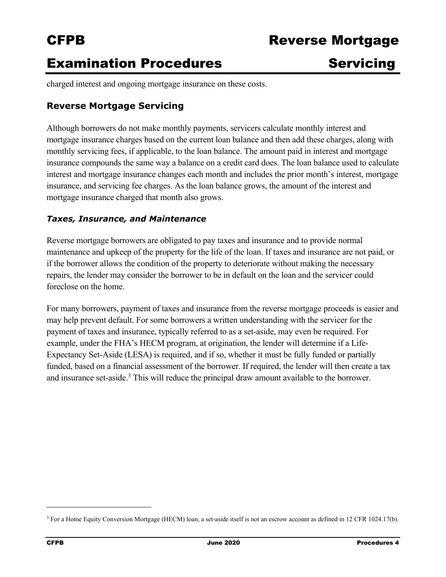## **Examination Procedures Servicing**

charged interest and ongoing mortgage insurance on these costs.

### **Reverse Mortgage Servicing**

Although borrowers do not make monthly payments, servicers calculate monthly interest and mortgage insurance charges based on the current loan balance and then add these charges, along with monthly servicing fees, if applicable, to the loan balance. The amount paid in interest and mortgage insurance compounds the same way a balance on a credit card does. The loan balance used to calculate interest and mortgage insurance changes each month and includes the prior month's interest, mortgage insurance, and servicing fee charges. As the loan balance grows, the amount of the interest and mortgage insurance charged that month also grows.

### *Taxes, Insurance, and Maintenance*

Reverse mortgage borrowers are obligated to pay taxes and insurance and to provide normal maintenance and upkeep of the property for the life of the loan. If taxes and insurance are not paid, or if the borrower allows the condition of the property to deteriorate without making the necessary repairs, the lender may consider the borrower to be in default on the loan and the servicer could foreclose on the home.

For many borrowers, payment of taxes and insurance from the reverse mortgage proceeds is easier and may help prevent default. For some borrowers a written understanding with the servicer for the payment of taxes and insurance, typically referred to as a set-aside, may even be required. For example, under the FHA's HECM program, at origination, the lender will determine if a Life-Expectancy Set-Aside (LESA) is required, and if so, whether it must be fully funded or partially funded, based on a financial assessment of the borrower. If required, the lender will then create a tax and insurance set-aside.<sup>3</sup> This will reduce the principal draw amount available to the borrower.

<sup>3</sup> For a Home Equity Conversion Mortgage (HECM) loan, a set-aside itself is not an escrow account as defined in 12 CFR 1024.17(b).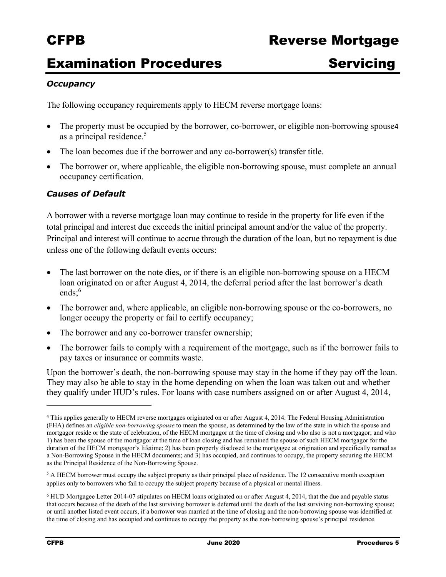## **Examination Procedures Servicing**

### *Occupancy*

The following occupancy requirements apply to HECM reverse mortgage loans:

- The property must be occupied by the borrower, co-borrower, or eligible non-borrowing spouse4 as a principal residence.<sup>5</sup>
- The loan becomes due if the borrower and any co-borrower(s) transfer title.
- The borrower or, where applicable, the eligible non-borrowing spouse, must complete an annual occupancy certification.

### *Causes of Default*

A borrower with a reverse mortgage loan may continue to reside in the property for life even if the total principal and interest due exceeds the initial principal amount and/or the value of the property. Principal and interest will continue to accrue through the duration of the loan, but no repayment is due unless one of the following default events occurs:

- The last borrower on the note dies, or if there is an eligible non-borrowing spouse on a HECM loan originated on or after August 4, 2014, the deferral period after the last borrower's death ends: $6$
- The borrower and, where applicable, an eligible non-borrowing spouse or the co-borrowers, no longer occupy the property or fail to certify occupancy;
- The borrower and any co-borrower transfer ownership;
- The borrower fails to comply with a requirement of the mortgage, such as if the borrower fails to pay taxes or insurance or commits waste.

Upon the borrower's death, the non-borrowing spouse may stay in the home if they pay off the loan. They may also be able to stay in the home depending on when the loan was taken out and whether they qualify under HUD's rules. For loans with case numbers assigned on or after August 4, 2014,

<sup>4</sup> This applies generally to HECM reverse mortgages originated on or after August 4, 2014. The Federal Housing Administration (FHA) defines an *eligible non-borrowing spouse* to mean the spouse, as determined by the law of the state in which the spouse and mortgagor reside or the state of celebration, of the HECM mortgagor at the time of closing and who also is not a mortgagor; and who 1) has been the spouse of the mortgagor at the time of loan closing and has remained the spouse of such HECM mortgagor for the duration of the HECM mortgagor's lifetime; 2) has been properly disclosed to the mortgagee at origination and specifically named as a Non-Borrowing Spouse in the HECM documents; and 3) has occupied, and continues to occupy, the property securing the HECM as the Principal Residence of the Non-Borrowing Spouse.

 applies only to borrowers who fail to occupy the subject property because of a physical or mental illness. <sup>5</sup> A HECM borrower must occupy the subject property as their principal place of residence. The 12 consecutive month exception

<sup>6</sup> HUD Mortgagee Letter 2014-07 stipulates on HECM loans originated on or after August 4, 2014, that the due and payable status that occurs because of the death of the last surviving borrower is deferred until the death of the last surviving non-borrowing spouse; or until another listed event occurs, if a borrower was married at the time of closing and the non-borrowing spouse was identified at the time of closing and has occupied and continues to occupy the property as the non-borrowing spouse's principal residence.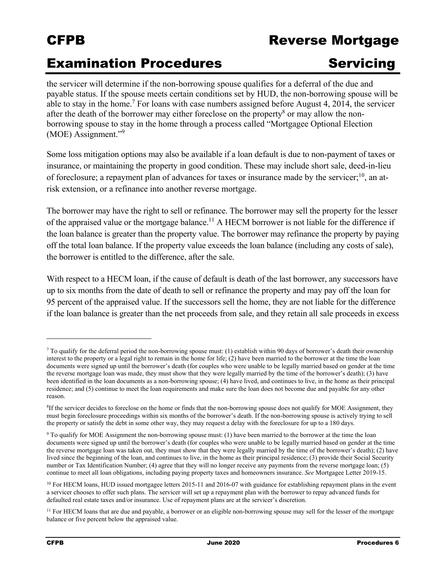## CFPB Reverse Mortgage

## **Examination Procedures Servicing**

the servicer will determine if the non-borrowing spouse qualifies for a deferral of the due and payable status. If the spouse meets certain conditions set by HUD, the non-borrowing spouse will be able to stay in the home.<sup>7</sup> For loans with case numbers assigned before August 4, 2014, the servicer after the death of the borrower may either foreclose on the property<sup>8</sup> or may allow the nonborrowing spouse to stay in the home through a process called "Mortgagee Optional Election (MOE) Assignment."<sup>9</sup>

Some loss mitigation options may also be available if a loan default is due to non-payment of taxes or insurance, or maintaining the property in good condition. These may include short sale, deed-in-lieu of foreclosure; a repayment plan of advances for taxes or insurance made by the servicer; $^{10}$ , an atrisk extension, or a refinance into another reverse mortgage.

The borrower may have the right to sell or refinance. The borrower may sell the property for the lesser of the appraised value or the mortgage balance.<sup>11</sup> A HECM borrower is not liable for the difference if the loan balance is greater than the property value. The borrower may refinance the property by paying off the total loan balance. If the property value exceeds the loan balance (including any costs of sale), the borrower is entitled to the difference, after the sale.

With respect to a HECM loan, if the cause of default is death of the last borrower, any successors have up to six months from the date of death to sell or refinance the property and may pay off the loan for 95 percent of the appraised value. If the successors sell the home, they are not liable for the difference if the loan balance is greater than the net proceeds from sale, and they retain all sale proceeds in excess

 $^7$  To qualify for the deferral period the non-borrowing spouse must: (1) establish within 90 days of borrower's death their ownership interest to the property or a legal right to remain in the home for life; (2) have been married to the borrower at the time the loan documents were signed up until the borrower's death (for couples who were unable to be legally married based on gender at the time the reverse mortgage loan was made, they must show that they were legally married by the time of the borrower's death); (3) have been identified in the loan documents as a non-borrowing spouse; (4) have lived, and continues to live, in the home as their principal residence; and (5) continue to meet the loan requirements and make sure the loan does not become due and payable for any other reason.

 the property or satisfy the debt in some other way, they may request a delay with the foreclosure for up to a 180 days. <sup>8</sup>If the servicer decides to foreclose on the home or finds that the non-borrowing spouse does not qualify for MOE Assignment, they must begin foreclosure proceedings within six months of the borrower's death. If the non-borrowing spouse is actively trying to sell

 lived since the beginning of the loan, and continues to live, in the home as their principal residence; (3) provide their Social Security 9 To qualify for MOE Assignment the non-borrowing spouse must: (1) have been married to the borrower at the time the loan documents were signed up until the borrower's death (for couples who were unable to be legally married based on gender at the time the reverse mortgage loan was taken out, they must show that they were legally married by the time of the borrower's death); (2) have number or Tax Identification Number; (4) agree that they will no longer receive any payments from the reverse mortgage loan; (5) continue to meet all loan obligations, including paying property taxes and homeowners insurance. *See* Mortgagee Letter 2019-15.

 $10$  For HECM loans, HUD issued mortgagee letters 2015-11 and 2016-07 with guidance for establishing repayment plans in the event a servicer chooses to offer such plans. The servicer will set up a repayment plan with the borrower to repay advanced funds for defaulted real estate taxes and/or insurance. Use of repayment plans are at the servicer's discretion.

 $<sup>11</sup>$  For HECM loans that are due and payable, a borrower or an eligible non-borrowing spouse may sell for the lesser of the mortgage</sup> balance or five percent below the appraised value.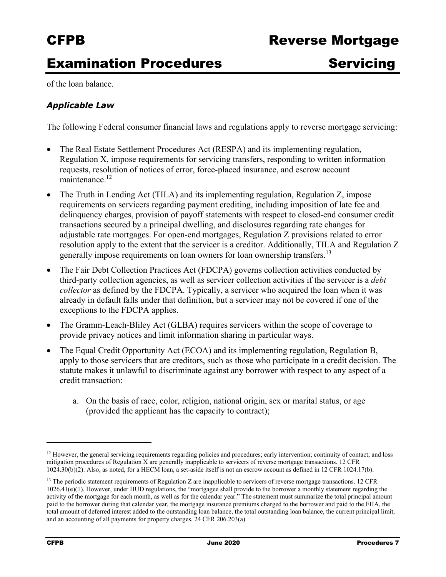# **Examination Procedures Servicing**

of the loan balance.

### *Applicable Law*

The following Federal consumer financial laws and regulations apply to reverse mortgage servicing:

- The Real Estate Settlement Procedures Act (RESPA) and its implementing regulation, Regulation X, impose requirements for servicing transfers, responding to written information requests, resolution of notices of error, force-placed insurance, and escrow account maintenance.<sup>12</sup>
- The Truth in Lending Act (TILA) and its implementing regulation, Regulation Z, impose requirements on servicers regarding payment crediting, including imposition of late fee and delinquency charges, provision of payoff statements with respect to closed-end consumer credit transactions secured by a principal dwelling, and disclosures regarding rate changes for adjustable rate mortgages. For open-end mortgages, Regulation Z provisions related to error resolution apply to the extent that the servicer is a creditor. Additionally, TILA and Regulation Z generally impose requirements on loan owners for loan ownership [transfers.](https://transfers.13)<sup>13</sup>
- The Fair Debt Collection Practices Act (FDCPA) governs collection activities conducted by third-party collection agencies, as well as servicer collection activities if the servicer is a *debt collector* as defined by the FDCPA. Typically, a servicer who acquired the loan when it was already in default falls under that definition, but a servicer may not be covered if one of the exceptions to the FDCPA applies.
- The Gramm-Leach-Bliley Act (GLBA) requires servicers within the scope of coverage to provide privacy notices and limit information sharing in particular ways.
- The Equal Credit Opportunity Act (ECOA) and its implementing regulation, Regulation B, apply to those servicers that are creditors, such as those who participate in a credit decision. The statute makes it unlawful to discriminate against any borrower with respect to any aspect of a credit transaction:
	- a. On the basis of race, color, religion, national origin, sex or marital status, or age (provided the applicant has the capacity to contract);

 $12$  However, the general servicing requirements regarding policies and procedures; early intervention; continuity of contact; and loss mitigation procedures of Regulation X are generally inapplicable to servicers of reverse mortgage transactions. 12 CFR 1024.30(b)(2). Also, as noted, for a HECM loan, a set-aside itself is not an escrow account as defined in 12 CFR 1024.17(b).

 $<sup>13</sup>$  The periodic statement requirements of Regulation Z are inapplicable to servicers of reverse mortgage transactions. 12 CFR</sup>  $1026.41(e)(1)$ . However, under HUD regulations, the "mortgagee shall provide to the borrower a monthly statement regarding the activity of the mortgage for each month, as well as for the calendar year." The statement must summarize the total principal amount paid to the borrower during that calendar year, the mortgage insurance premiums charged to the borrower and paid to the FHA, the total amount of deferred interest added to the outstanding loan balance, the total outstanding loan balance, the current principal limit, and an accounting of all payments for property charges. 24 CFR 206.203(a).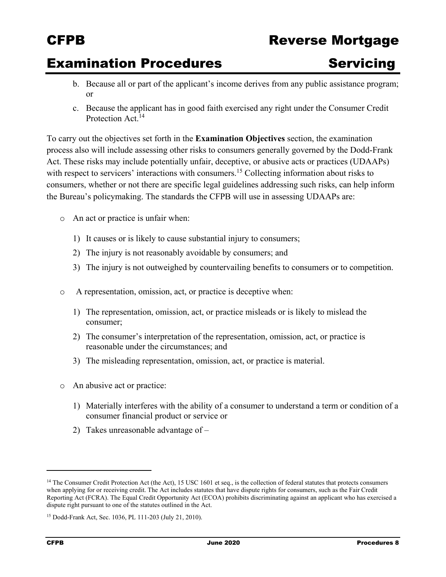## CFPB Reverse Mortgage

## **Examination Procedures Servicing**

- b. Because all or part of the applicant's income derives from any public assistance program; or
- c. Because the applicant has in good faith exercised any right under the Consumer Credit Protection Act.<sup>14</sup>

To carry out the objectives set forth in the **Examination Objectives** section, the examination process also will include assessing other risks to consumers generally governed by the Dodd-Frank Act. These risks may include potentially unfair, deceptive, or abusive acts or practices (UDAAPs) with respect to servicers' interactions with [consumers.](https://consumers.15)<sup>15</sup> Collecting information about risks to consumers, whether or not there are specific legal guidelines addressing such risks, can help inform the Bureau's policymaking. The standards the CFPB will use in assessing UDAAPs are:

- o An act or practice is unfair when:
	- 1) It causes or is likely to cause substantial injury to consumers;
	- 2) The injury is not reasonably avoidable by consumers; and
	- 3) The injury is not outweighed by countervailing benefits to consumers or to competition.
- o A representation, omission, act, or practice is deceptive when:
	- 1) The representation, omission, act, or practice misleads or is likely to mislead the consumer;
	- 2) The consumer's interpretation of the representation, omission, act, or practice is reasonable under the circumstances; and
	- 3) The misleading representation, omission, act, or practice is material.
- o An abusive act or practice:

- 1) Materially interferes with the ability of a consumer to understand a term or condition of a consumer financial product or service or
- 2) Takes unreasonable advantage of –

<sup>&</sup>lt;sup>14</sup> The Consumer Credit Protection Act (the Act), 15 USC 1601 et seq., is the collection of federal statutes that protects consumers when applying for or receiving credit. The Act includes statutes that have dispute rights for consumers, such as the Fair Credit Reporting Act (FCRA). The Equal Credit Opportunity Act (ECOA) prohibits discriminating against an applicant who has exercised a dispute right pursuant to one of the statutes outlined in the Act.

<sup>15</sup> Dodd-Frank Act, Sec. 1036, PL 111-203 (July 21, 2010).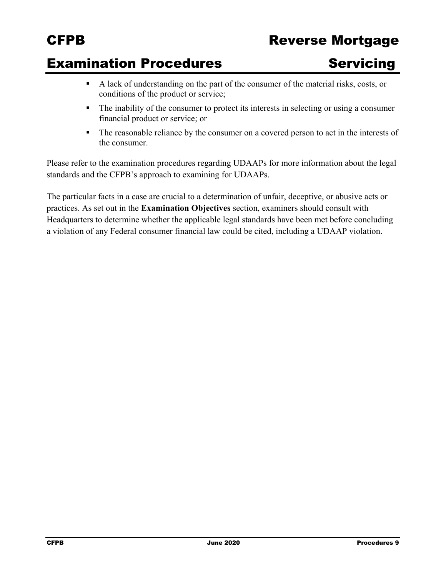## CFPB Reverse Mortgage

## **Examination Procedures Servicing**

- A lack of understanding on the part of the consumer of the material risks, costs, or conditions of the product or service;
- The inability of the consumer to protect its interests in selecting or using a consumer financial product or service; or
- The reasonable reliance by the consumer on a covered person to act in the interests of the consumer.

Please refer to the examination procedures regarding UDAAPs for more information about the legal standards and the CFPB's approach to examining for UDAAPs.

The particular facts in a case are crucial to a determination of unfair, deceptive, or abusive acts or practices. As set out in the **Examination Objectives** section, examiners should consult with Headquarters to determine whether the applicable legal standards have been met before concluding a violation of any Federal consumer financial law could be cited, including a UDAAP violation.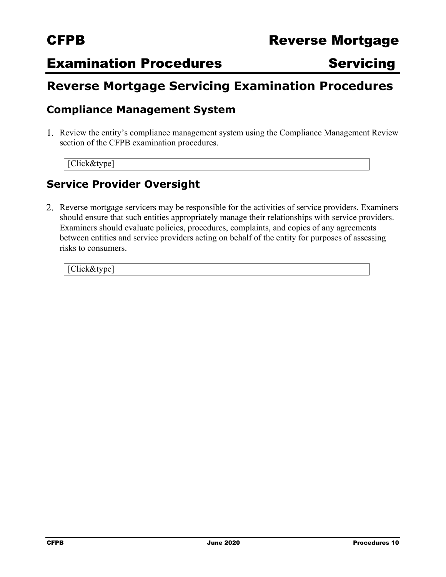## **Examination Procedures Servicing**

## **Reverse Mortgage Servicing Examination Procedures**

## **Compliance Management System**

Review the entity's compliance management system using the Compliance Management Review section of the CFPB examination procedures.

[Click&type]

## **Service Provider Oversight**

2. Reverse mortgage servicers may be responsible for the activities of service providers. Examiners should ensure that such entities appropriately manage their relationships with service providers. Examiners should evaluate policies, procedures, complaints, and copies of any agreements between entities and service providers acting on behalf of the entity for purposes of assessing risks to consumers.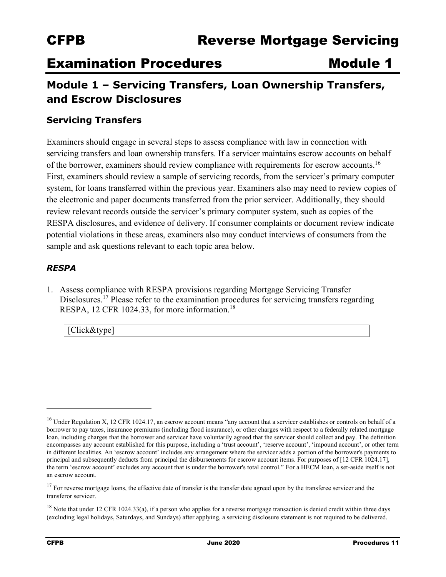## **Examination Procedures Module 1**

## **Module 1 – Servicing Transfers, Loan Ownership Transfers, and Escrow Disclosures**

## **Servicing Transfers**

Examiners should engage in several steps to assess compliance with law in connection with servicing transfers and loan ownership transfers. If a servicer maintains escrow accounts on behalf of the borrower, examiners should review compliance with requirements for escrow accounts.<sup>16</sup> First, examiners should review a sample of servicing records, from the servicer's primary computer system, for loans transferred within the previous year. Examiners also may need to review copies of the electronic and paper documents transferred from the prior servicer. Additionally, they should review relevant records outside the servicer's primary computer system, such as copies of the RESPA disclosures, and evidence of delivery. If consumer complaints or document review indicate potential violations in these areas, examiners also may conduct interviews of consumers from the sample and ask questions relevant to each topic area below.

### *RESPA*

1. Assess compliance with RESPA provisions regarding Mortgage Servicing Transfer Disclosures.<sup>17</sup> Please refer to the examination procedures for servicing transfers regarding RESPA, 12 CFR 1024.33, for more information.<sup>18</sup>

[Click&type]

 loan, including charges that the borrower and servicer have voluntarily agreed that the servicer should collect and pay. The definition  $16$  Under Regulation X, 12 CFR 1024.17, an escrow account means "any account that a servicer establishes or controls on behalf of a borrower to pay taxes, insurance premiums (including flood insurance), or other charges with respect to a federally related mortgage encompasses any account established for this purpose, including a 'trust account', 'reserve account', 'impound account', or other term in different localities. An 'escrow account' includes any arrangement where the servicer adds a portion of the borrower's payments to principal and subsequently deducts from principal the disbursements for escrow account items. For purposes of [12 CFR 1024.17], the term 'escrow account' excludes any account that is under the borrower's total control." For a HECM loan, a set-aside itself is not an escrow account.

 $17$  For reverse mortgage loans, the effective date of transfer is the transfer date agreed upon by the transferee servicer and the transferor servicer.

 $18$  Note that under 12 CFR 1024.33(a), if a person who applies for a reverse mortgage transaction is denied credit within three days (excluding legal holidays, Saturdays, and Sundays) after applying, a servicing disclosure statement is not required to be delivered.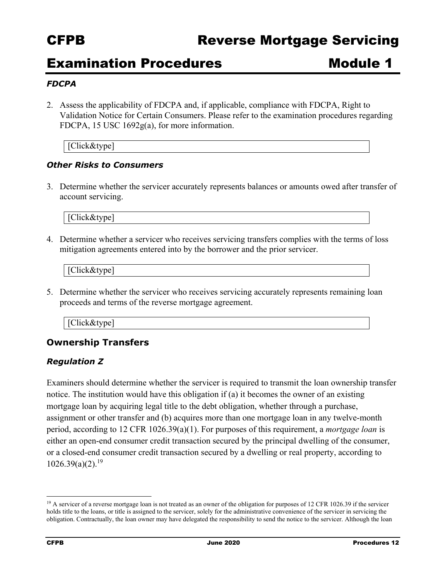## Examination Procedures **Module 1**

### *FDCPA*

2. Assess the applicability of FDCPA and, if applicable, compliance with FDCPA, Right to Validation Notice for Certain Consumers. Please refer to the examination procedures regarding FDCPA, 15 USC 1692g(a), for more information.

[Click&type]

### *Other Risks to Consumers*

3. Determine whether the servicer accurately represents balances or amounts owed after transfer of account servicing.

[Click&type]

4. Determine whether a servicer who receives servicing transfers complies with the terms of loss mitigation agreements entered into by the borrower and the prior servicer.

[Click&type]

5. Determine whether the servicer who receives servicing accurately represents remaining loan proceeds and terms of the reverse mortgage agreement.

| $\sim$ |
|--------|
|--------|

## **Ownership Transfers**

### *Regulation Z*

Examiners should determine whether the servicer is required to transmit the loan ownership transfer notice. The institution would have this obligation if (a) it becomes the owner of an existing mortgage loan by acquiring legal title to the debt obligation, whether through a purchase, assignment or other transfer and (b) acquires more than one mortgage loan in any twelve-month period, according to 12 CFR 1026.39(a)(1). For purposes of this requirement, a *mortgage loan* is either an open-end consumer credit transaction secured by the principal dwelling of the consumer, or a closed-end consumer credit transaction secured by a dwelling or real property, according to  $1026.39(a)(2).^{19}$  $1026.39(a)(2).^{19}$ 

 obligation. Contractually, the loan owner may have delegated the responsibility to send the notice to the servicer. Although the loan <sup>19</sup> A servicer of a reverse mortgage loan is not treated as an owner of the obligation for purposes of 12 CFR 1026.39 if the servicer holds title to the loans, or title is assigned to the servicer, solely for the administrative convenience of the servicer in servicing the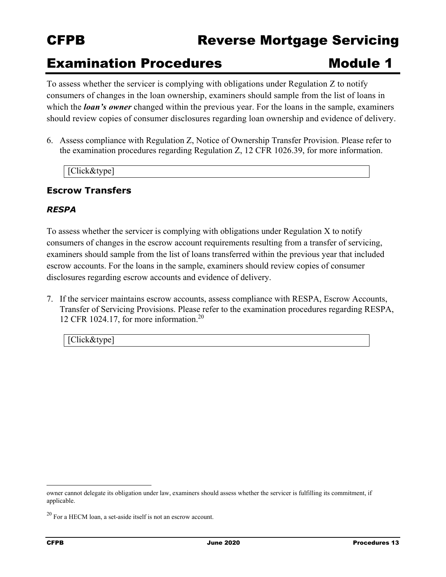## CFPB Reverse Mortgage Servicing

## **Examination Procedures Module 1**

To assess whether the servicer is complying with obligations under Regulation Z to notify consumers of changes in the loan ownership, examiners should sample from the list of loans in which the *loan's* owner changed within the previous year. For the loans in the sample, examiners should review copies of consumer disclosures regarding loan ownership and evidence of delivery.

6. Assess compliance with Regulation Z, Notice of Ownership Transfer Provision. Please refer to the examination procedures regarding Regulation Z, 12 CFR 1026.39, for more information.

[Click&type]

## **Escrow Transfers**

### *RESPA*

To assess whether the servicer is complying with obligations under Regulation X to notify consumers of changes in the escrow account requirements resulting from a transfer of servicing, examiners should sample from the list of loans transferred within the previous year that included escrow accounts. For the loans in the sample, examiners should review copies of consumer disclosures regarding escrow accounts and evidence of delivery.

7. If the servicer maintains escrow accounts, assess compliance with RESPA, Escrow Accounts, Transfer of Servicing Provisions. Please refer to the examination procedures regarding RESPA, 12 CFR 1024.17, for more information.<sup>20</sup>

[Click&type]

owner cannot delegate its obligation under law, examiners should assess whether the servicer is fulfilling its commitment, if applicable.

 $20$  For a HECM loan, a set-aside itself is not an escrow account.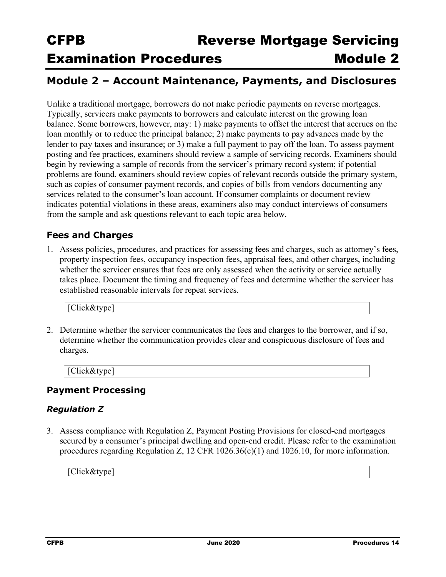## **Module 2 – Account Maintenance, Payments, and Disclosures**

Unlike a traditional mortgage, borrowers do not make periodic payments on reverse mortgages. Typically, servicers make payments to borrowers and calculate interest on the growing loan balance. Some borrowers, however, may: 1) make payments to offset the interest that accrues on the loan monthly or to reduce the principal balance; 2) make payments to pay advances made by the lender to pay taxes and insurance; or 3) make a full payment to pay off the loan. To assess payment posting and fee practices, examiners should review a sample of servicing records. Examiners should begin by reviewing a sample of records from the servicer's primary record system; if potential problems are found, examiners should review copies of relevant records outside the primary system, such as copies of consumer payment records, and copies of bills from vendors documenting any services related to the consumer's loan account. If consumer complaints or document review indicates potential violations in these areas, examiners also may conduct interviews of consumers from the sample and ask questions relevant to each topic area below.

## **Fees and Charges**

1. Assess policies, procedures, and practices for assessing fees and charges, such as attorney's fees, property inspection fees, occupancy inspection fees, appraisal fees, and other charges, including whether the servicer ensures that fees are only assessed when the activity or service actually takes place. Document the timing and frequency of fees and determine whether the servicer has established reasonable intervals for repeat services.

[Click&type]

2. Determine whether the servicer communicates the fees and charges to the borrower, and if so, determine whether the communication provides clear and conspicuous disclosure of fees and charges.

[Click&type]

## **Payment Processing**

## *Regulation Z*

3. Assess compliance with Regulation Z, Payment Posting Provisions for closed-end mortgages secured by a consumer's principal dwelling and open-end credit. Please refer to the examination procedures regarding Regulation Z, 12 CFR 1026.36(c)(1) and 1026.10, for more information.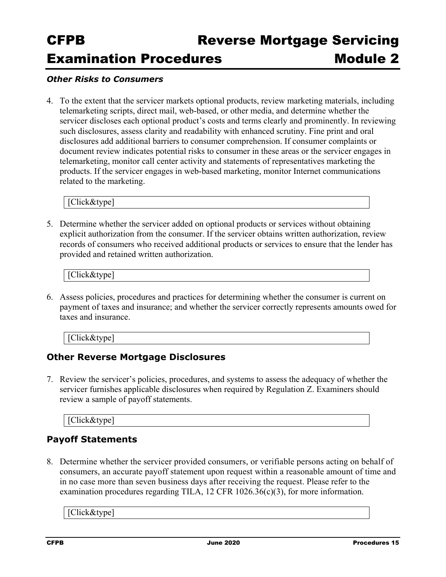#### *Other Risks to Consumers*

4. To the extent that the servicer markets optional products, review marketing materials, including telemarketing scripts, direct mail, web-based, or other media, and determine whether the servicer discloses each optional product's costs and terms clearly and prominently. In reviewing such disclosures, assess clarity and readability with enhanced scrutiny. Fine print and oral disclosures add additional barriers to consumer comprehension. If consumer complaints or document review indicates potential risks to consumer in these areas or the servicer engages in telemarketing, monitor call center activity and statements of representatives marketing the products. If the servicer engages in web-based marketing, monitor Internet communications related to the marketing.

[Click&type]

5. Determine whether the servicer added on optional products or services without obtaining explicit authorization from the consumer. If the servicer obtains written authorization, review records of consumers who received additional products or services to ensure that the lender has provided and retained written authorization.

| tvpe.<br>$1.4 \times 1.7$<br>$\pi$ itck $\alpha$ t<br>$C_{\rm H}$ <sub>U</sub><br>- |
|-------------------------------------------------------------------------------------|
|-------------------------------------------------------------------------------------|

6. Assess policies, procedures and practices for determining whether the consumer is current on payment of taxes and insurance; and whether the servicer correctly represents amounts owed for taxes and insurance.

[Click&type]

## **Other Reverse Mortgage Disclosures**

7. Review the servicer's policies, procedures, and systems to assess the adequacy of whether the servicer furnishes applicable disclosures when required by Regulation Z. Examiners should review a sample of payoff statements.

[Click&type]

## **Payoff Statements**

8. Determine whether the servicer provided consumers, or verifiable persons acting on behalf of consumers, an accurate payoff statement upon request within a reasonable amount of time and in no case more than seven business days after receiving the request. Please refer to the examination procedures regarding TILA, 12 CFR 1026.36 $(c)(3)$ , for more information.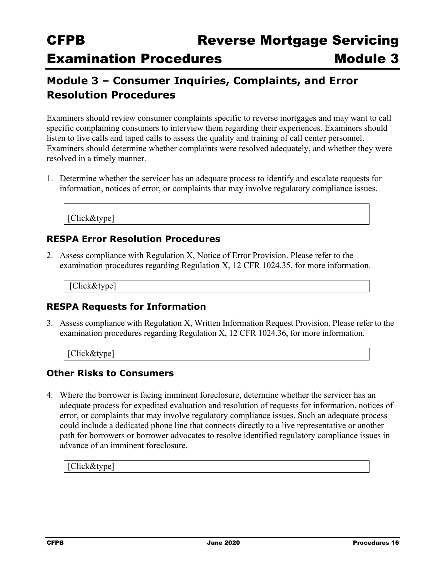## **Module 3 – Consumer Inquiries, Complaints, and Error Resolution Procedures**

Examiners should review consumer complaints specific to reverse mortgages and may want to call specific complaining consumers to interview them regarding their experiences. Examiners should listen to live calls and taped calls to assess the quality and training of call center personnel. Examiners should determine whether complaints were resolved adequately, and whether they were resolved in a timely manner.

1. Determine whether the servicer has an adequate process to identify and escalate requests for information, notices of error, or complaints that may involve regulatory compliance issues.

[Click&type]

## **RESPA Error Resolution Procedures**

2. Assess compliance with Regulation X, Notice of Error Provision. Please refer to the examination procedures regarding Regulation X, 12 CFR 1024.35, for more information.

[Click&type]

## **RESPA Requests for Information**

3. Assess compliance with Regulation X, Written Information Request Provision. Please refer to the examination procedures regarding Regulation X, 12 CFR 1024.36, for more information.

[Click&type]

## **Other Risks to Consumers**

4. Where the borrower is facing imminent foreclosure, determine whether the servicer has an adequate process for expedited evaluation and resolution of requests for information, notices of error, or complaints that may involve regulatory compliance issues. Such an adequate process could include a dedicated phone line that connects directly to a live representative or another path for borrowers or borrower advocates to resolve identified regulatory compliance issues in advance of an imminent foreclosure.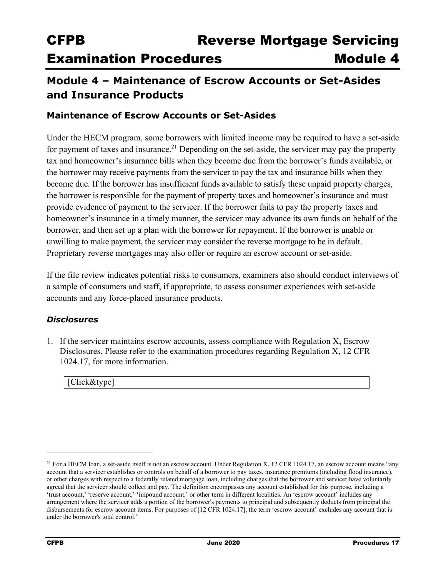## **Module 4 – Maintenance of Escrow Accounts or Set-Asides and Insurance Products**

## **Maintenance of Escrow Accounts or Set-Asides**

 the borrower is responsible for the payment of property taxes and homeowner's insurance and must borrower, and then set up a plan with the borrower for repayment. If the borrower is unable or Under the HECM program, some borrowers with limited income may be required to have a set-aside for payment of taxes and [insurance.21](https://insurance.21) Depending on the set-aside, the servicer may pay the property tax and homeowner's insurance bills when they become due from the borrower's funds available, or the borrower may receive payments from the servicer to pay the tax and insurance bills when they become due. If the borrower has insufficient funds available to satisfy these unpaid property charges, provide evidence of payment to the servicer. If the borrower fails to pay the property taxes and homeowner's insurance in a timely manner, the servicer may advance its own funds on behalf of the unwilling to make payment, the servicer may consider the reverse mortgage to be in default. Proprietary reverse mortgages may also offer or require an escrow account or set-aside.

If the file review indicates potential risks to consumers, examiners also should conduct interviews of a sample of consumers and staff, if appropriate, to assess consumer experiences with set-aside accounts and any force-placed insurance products.

### *Disclosures*

1. If the servicer maintains escrow accounts, assess compliance with Regulation X, Escrow Disclosures. Please refer to the examination procedures regarding Regulation X, 12 CFR 1024.17, for more information.

|--|--|

 $21$  For a HECM loan, a set-aside itself is not an escrow account. Under Regulation X, 12 CFR 1024.17, an escrow account means "any account that a servicer establishes or controls on behalf of a borrower to pay taxes, insurance premiums (including flood insurance), or other charges with respect to a federally related mortgage loan, including charges that the borrower and servicer have voluntarily agreed that the servicer should collect and pay. The definition encompasses any account established for this purpose, including a 'trust account,' 'reserve account,' 'impound account,' or other term in different localities. An 'escrow account' includes any arrangement where the servicer adds a portion of the borrower's payments to principal and subsequently deducts from principal the disbursements for escrow account items. For purposes of [12 CFR 1024.17], the term 'escrow account' excludes any account that is under the borrower's total control."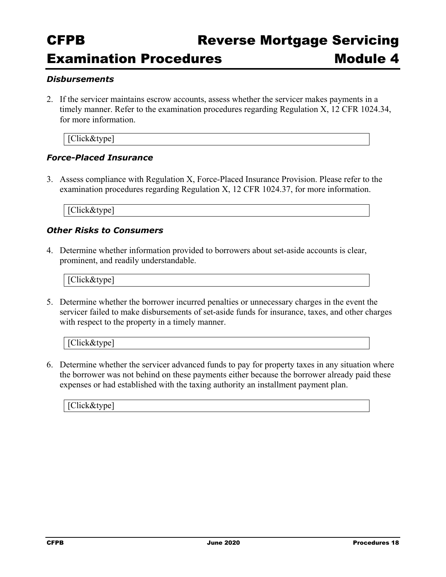#### *Disbursements*

2. If the servicer maintains escrow accounts, assess whether the servicer makes payments in a timely manner. Refer to the examination procedures regarding Regulation X, 12 CFR 1024.34, for more information.

[Click&type]

#### *Force-Placed Insurance*

3. Assess compliance with Regulation X, Force-Placed Insurance Provision. Please refer to the examination procedures regarding Regulation X, 12 CFR 1024.37, for more information.

[Click&type]

#### *Other Risks to Consumers*

4. Determine whether information provided to borrowers about set-aside accounts is clear, prominent, and readily understandable.

[Click&type]

5. Determine whether the borrower incurred penalties or unnecessary charges in the event the servicer failed to make disbursements of set-aside funds for insurance, taxes, and other charges with respect to the property in a timely manner.

[Click&type]

6. Determine whether the servicer advanced funds to pay for property taxes in any situation where the borrower was not behind on these payments either because the borrower already paid these expenses or had established with the taxing authority an installment payment plan.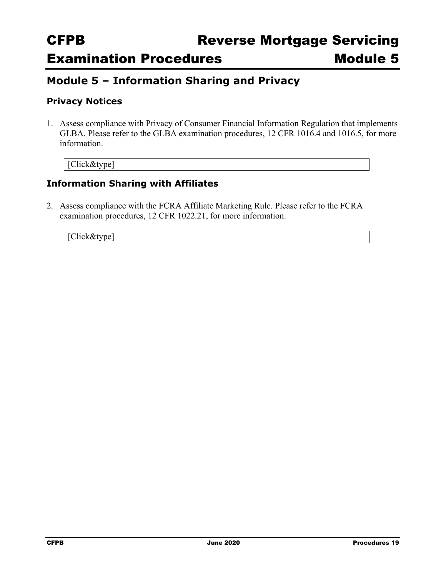## **Module 5 – Information Sharing and Privacy**

## **Privacy Notices**

1. Assess compliance with Privacy of Consumer Financial Information Regulation that implements GLBA. Please refer to the GLBA examination procedures, 12 CFR 1016.4 and 1016.5, for more information.

[Click&type]

## **Information Sharing with Affiliates**

2. Assess compliance with the FCRA Affiliate Marketing Rule. Please refer to the FCRA examination procedures, 12 CFR 1022.21, for more information.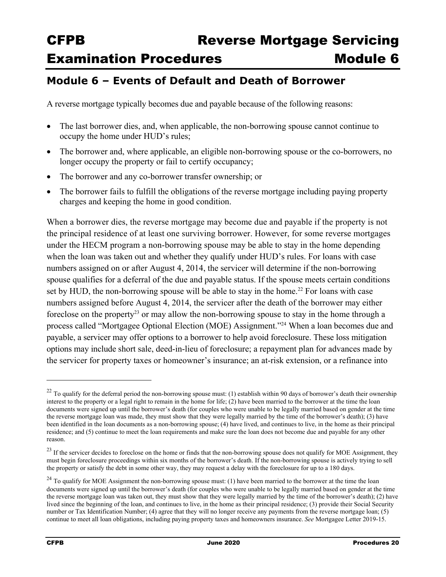## **Module 6 – Events of Default and Death of Borrower**

A reverse mortgage typically becomes due and payable because of the following reasons:

- The last borrower dies, and, when applicable, the non-borrowing spouse cannot continue to occupy the home under HUD's rules;
- The borrower and, where applicable, an eligible non-borrowing spouse or the co-borrowers, no longer occupy the property or fail to certify occupancy;
- The borrower and any co-borrower transfer ownership; or
- The borrower fails to fulfill the obligations of the reverse mortgage including paying property charges and keeping the home in good condition.

When a borrower dies, the reverse mortgage may become due and payable if the property is not the principal residence of at least one surviving borrower. However, for some reverse mortgages under the HECM program a non-borrowing spouse may be able to stay in the home depending when the loan was taken out and whether they qualify under HUD's rules. For loans with case numbers assigned on or after August 4, 2014, the servicer will determine if the non-borrowing spouse qualifies for a deferral of the due and payable status. If the spouse meets certain conditions set by HUD, the non-borrowing spouse will be able to stay in the home.<sup>22</sup> For loans with case numbers assigned before August 4, 2014, the servicer after the death of the borrower may either foreclose on the property<sup>23</sup> or may allow the non-borrowing spouse to stay in the home through a process called "Mortgagee Optional Election (MOE) Assignment."24 When a loan becomes due and payable, a servicer may offer options to a borrower to help avoid foreclosure. These loss mitigation options may include short sale, deed-in-lieu of foreclosure; a repayment plan for advances made by the servicer for property taxes or homeowner's insurance; an at-risk extension, or a refinance into

 $22$  To qualify for the deferral period the non-borrowing spouse must: (1) establish within 90 days of borrower's death their ownership interest to the property or a legal right to remain in the home for life; (2) have been married to the borrower at the time the loan documents were signed up until the borrower's death (for couples who were unable to be legally married based on gender at the time the reverse mortgage loan was made, they must show that they were legally married by the time of the borrower's death); (3) have been identified in the loan documents as a non-borrowing spouse; (4) have lived, and continues to live, in the home as their principal residence; and (5) continue to meet the loan requirements and make sure the loan does not become due and payable for any other reason.

 the property or satisfy the debt in some other way, they may request a delay with the foreclosure for up to a 180 days. <sup>23</sup> If the servicer decides to foreclose on the home or finds that the non-borrowing spouse does not qualify for MOE Assignment, they must begin foreclosure proceedings within six months of the borrower's death. If the non-borrowing spouse is actively trying to sell

 lived since the beginning of the loan, and continues to live, in the home as their principal residence; (3) provide their Social Security  $24$  To qualify for MOE Assignment the non-borrowing spouse must: (1) have been married to the borrower at the time the loan documents were signed up until the borrower's death (for couples who were unable to be legally married based on gender at the time the reverse mortgage loan was taken out, they must show that they were legally married by the time of the borrower's death); (2) have number or Tax Identification Number; (4) agree that they will no longer receive any payments from the reverse mortgage loan; (5) continue to meet all loan obligations, including paying property taxes and homeowners insurance. *See* Mortgagee Letter 2019-15.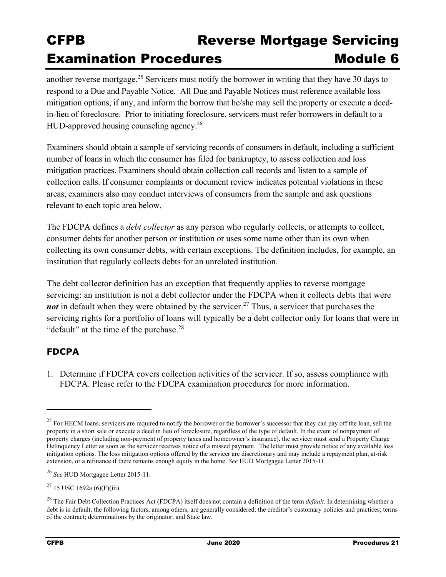HUD-approved housing counseling agency.<sup>26</sup> another reverse [mortgage.25](https://mortgage.25) Servicers must notify the borrower in writing that they have 30 days to respond to a Due and Payable Notice. All Due and Payable Notices must reference available loss mitigation options, if any, and inform the borrow that he/she may sell the property or execute a deedin-lieu of foreclosure. Prior to initiating foreclosure, servicers must refer borrowers in default to a

Examiners should obtain a sample of servicing records of consumers in default, including a sufficient number of loans in which the consumer has filed for bankruptcy, to assess collection and loss mitigation practices. Examiners should obtain collection call records and listen to a sample of collection calls. If consumer complaints or document review indicates potential violations in these areas, examiners also may conduct interviews of consumers from the sample and ask questions relevant to each topic area below.

The FDCPA defines a *debt collector* as any person who regularly collects, or attempts to collect, consumer debts for another person or institution or uses some name other than its own when collecting its own consumer debts, with certain exceptions. The definition includes, for example, an institution that regularly collects debts for an unrelated institution.

The debt collector definition has an exception that frequently applies to reverse mortgage servicing: an institution is not a debt collector under the FDCPA when it collects debts that were *not* in default when they were obtained by the [servicer.](https://servicer.27)<sup>27</sup> Thus, a servicer that purchases the servicing rights for a portfolio of loans will typically be a debt collector only for loans that were in "default" at the time of the [purchase.](https://purchase.28)<sup>28</sup>

## **FDCPA**

1. Determine if FDCPA covers collection activities of the servicer. If so, assess compliance with FDCPA. Please refer to the FDCPA examination procedures for more information.

 property in a short sale or execute a deed in lieu of foreclosure, regardless of the type of default. In the event of nonpayment of <sup>25</sup> For HECM loans, servicers are required to notify the borrower or the borrower's successor that they can pay off the loan, sell the property charges (including non-payment of property taxes and homeowner's insurance), the servicer must send a Property Charge Delinquency Letter as soon as the servicer receives notice of a missed payment. The letter must provide notice of any available loss mitigation options. The loss mitigation options offered by the servicer are discretionary and may include a repayment plan, at-risk extension, or a refinance if there remains enough equity in the home. *See* HUD Mortgagee Letter 2015-11.

<sup>26</sup>*See* HUD Mortgagee Letter 2015-11.

 $27$  15 USC 1692a (6)(F)(iii).

<sup>28</sup> The Fair Debt Collection Practices Act (FDCPA) itself does not contain a definition of the term *default*. In determining whether a debt is in default, the following factors, among others, are generally considered: the creditor's customary policies and practices; terms of the contract; determinations by the originator; and State law.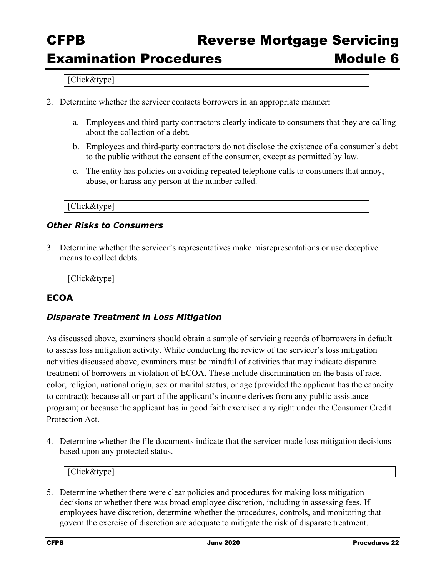#### [Click&type]

- 2. Determine whether the servicer contacts borrowers in an appropriate manner:
	- a. Employees and third-party contractors clearly indicate to consumers that they are calling about the collection of a debt.
	- b. Employees and third-party contractors do not disclose the existence of a consumer's debt to the public without the consent of the consumer, except as permitted by law.
	- c. The entity has policies on avoiding repeated telephone calls to consumers that annoy, abuse, or harass any person at the number called.

#### [Click&type]

### *Other Risks to Consumers*

3. Determine whether the servicer's representatives make misrepresentations or use deceptive means to collect debts.

#### [Click&type]

## **ECOA**

### *Disparate Treatment in Loss Mitigation*

As discussed above, examiners should obtain a sample of servicing records of borrowers in default to assess loss mitigation activity. While conducting the review of the servicer's loss mitigation activities discussed above, examiners must be mindful of activities that may indicate disparate treatment of borrowers in violation of ECOA. These include discrimination on the basis of race, color, religion, national origin, sex or marital status, or age (provided the applicant has the capacity to contract); because all or part of the applicant's income derives from any public assistance program; or because the applicant has in good faith exercised any right under the Consumer Credit Protection Act.

4. Determine whether the file documents indicate that the servicer made loss mitigation decisions based upon any protected status.

[Click&type]

5. Determine whether there were clear policies and procedures for making loss mitigation decisions or whether there was broad employee discretion, including in assessing fees. If employees have discretion, determine whether the procedures, controls, and monitoring that govern the exercise of discretion are adequate to mitigate the risk of disparate treatment.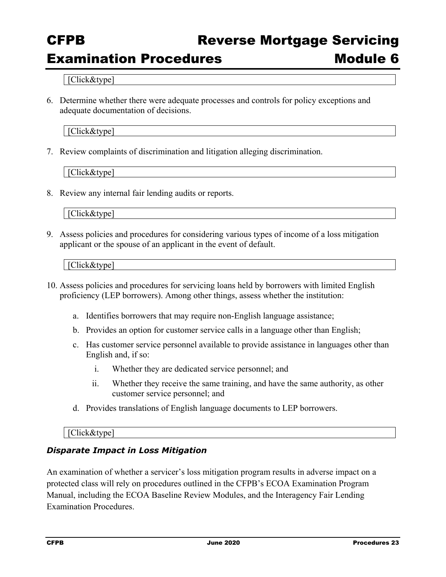# CFPB Reverse Mortgage Servicing

## Examination Procedures **Module 6**

[Click&type]

6. Determine whether there were adequate processes and controls for policy exceptions and adequate documentation of decisions.

[Click&type]

7. Review complaints of discrimination and litigation alleging discrimination.

[Click&type]

8. Review any internal fair lending audits or reports.

[Click&type]

9. Assess policies and procedures for considering various types of income of a loss mitigation applicant or the spouse of an applicant in the event of default.

[Click&type]

- 10. Assess policies and procedures for servicing loans held by borrowers with limited English proficiency (LEP borrowers). Among other things, assess whether the institution:
	- a. Identifies borrowers that may require non-English language assistance;
	- b. Provides an option for customer service calls in a language other than English;
	- c. Has customer service personnel available to provide assistance in languages other than English and, if so:
		- i. Whether they are dedicated service personnel; and
		- ii. Whether they receive the same training, and have the same authority, as other customer service personnel; and
	- d. Provides translations of English language documents to LEP borrowers.

#### [Click&type]

### *Disparate Impact in Loss Mitigation*

An examination of whether a servicer's loss mitigation program results in adverse impact on a protected class will rely on procedures outlined in the CFPB's ECOA Examination Program Manual, including the ECOA Baseline Review Modules, and the Interagency Fair Lending Examination Procedures.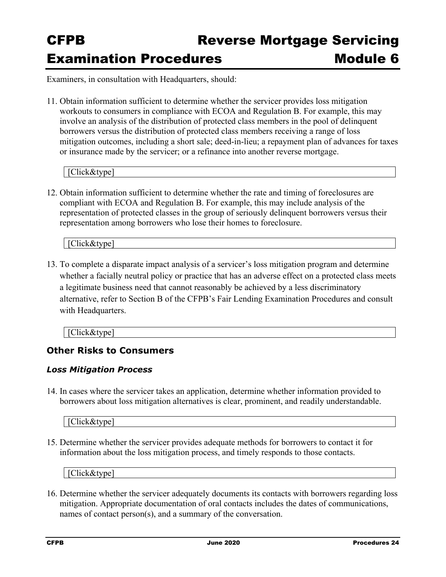Examiners, in consultation with Headquarters, should:

11. Obtain information sufficient to determine whether the servicer provides loss mitigation workouts to consumers in compliance with ECOA and Regulation B. For example, this may involve an analysis of the distribution of protected class members in the pool of delinquent borrowers versus the distribution of protected class members receiving a range of loss mitigation outcomes, including a short sale; deed-in-lieu; a repayment plan of advances for taxes or insurance made by the servicer; or a refinance into another reverse mortgage.

[Click&type]

12. Obtain information sufficient to determine whether the rate and timing of foreclosures are compliant with ECOA and Regulation B. For example, this may include analysis of the representation of protected classes in the group of seriously delinquent borrowers versus their representation among borrowers who lose their homes to foreclosure.

[Click&type]

13. To complete a disparate impact analysis of a servicer's loss mitigation program and determine whether a facially neutral policy or practice that has an adverse effect on a protected class meets a legitimate business need that cannot reasonably be achieved by a less discriminatory alternative, refer to Section B of the CFPB's Fair Lending Examination Procedures and consult with Headquarters.

[Click&type]

## **Other Risks to Consumers**

### *Loss Mitigation Process*

14. In cases where the servicer takes an application, determine whether information provided to borrowers about loss mitigation alternatives is clear, prominent, and readily understandable.

[Click&type]

15. Determine whether the servicer provides adequate methods for borrowers to contact it for information about the loss mitigation process, and timely responds to those contacts.

[Click&type]

16. Determine whether the servicer adequately documents its contacts with borrowers regarding loss mitigation. Appropriate documentation of oral contacts includes the dates of communications, names of contact person(s), and a summary of the conversation.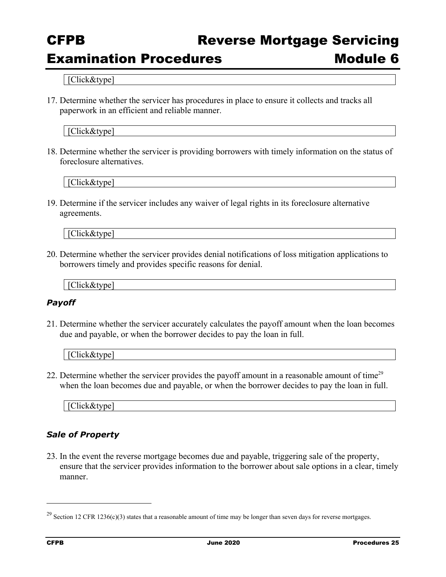## CFPB Reverse Mortgage Servicing

## Examination Procedures **Module 6**

[Click&type]

17. Determine whether the servicer has procedures in place to ensure it collects and tracks all paperwork in an efficient and reliable manner.

[Click&type]

18. Determine whether the servicer is providing borrowers with timely information on the status of foreclosure alternatives.

[Click&type]

19. Determine if the servicer includes any waiver of legal rights in its foreclosure alternative agreements.

[Click&type]

20. Determine whether the servicer provides denial notifications of loss mitigation applications to borrowers timely and provides specific reasons for denial.

[Click&type]

#### *Payoff*

21. Determine whether the servicer accurately calculates the payoff amount when the loan becomes due and payable, or when the borrower decides to pay the loan in full.

| IC1i<br>, ⊂lick&type l |  |  |
|------------------------|--|--|
|                        |  |  |

22. Determine whether the servicer provides the payoff amount in a reasonable amount of time<sup>29</sup> when the loan becomes due and payable, or when the borrower decides to pay the loan in full.

| -<br><br>πн<br>$\cdot$<br>$\sim$ $\sim$ $\sim$ $\sim$ $\sim$ $\sim$ |  |  |
|---------------------------------------------------------------------|--|--|
|                                                                     |  |  |

## *Sale of Property*

23. In the event the reverse mortgage becomes due and payable, triggering sale of the property, ensure that the servicer provides information to the borrower about sale options in a clear, timely manner.

 $^{29}$  Section 12 CFR 1236(c)(3) states that a reasonable amount of time may be longer than seven days for reverse mortgages.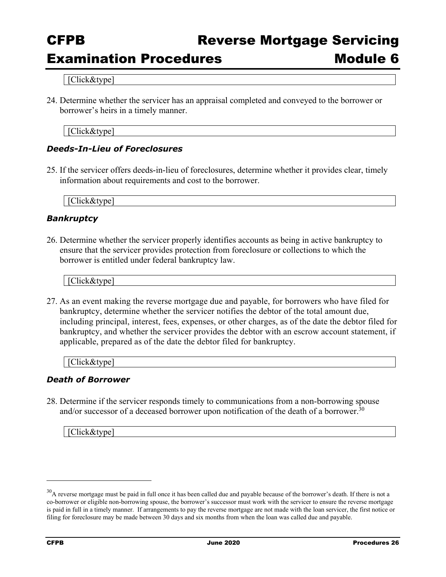## Examination Procedures **Module 6**

[Click&type]

24. Determine whether the servicer has an appraisal completed and conveyed to the borrower or borrower's heirs in a timely manner.

[Click&type]

### *Deeds-In-Lieu of Foreclosures*

25. If the servicer offers deeds-in-lieu of foreclosures, determine whether it provides clear, timely information about requirements and cost to the borrower.

[Click&type]

### *Bankruptcy*

26. Determine whether the servicer properly identifies accounts as being in active bankruptcy to ensure that the servicer provides protection from foreclosure or collections to which the borrower is entitled under federal bankruptcy law.

[Click&type]

27. As an event making the reverse mortgage due and payable, for borrowers who have filed for bankruptcy, determine whether the servicer notifies the debtor of the total amount due, including principal, interest, fees, expenses, or other charges, as of the date the debtor filed for bankruptcy, and whether the servicer provides the debtor with an escrow account statement, if applicable, prepared as of the date the debtor filed for bankruptcy.

[Click&type]

#### *Death of Borrower*

and/or successor of a deceased borrower upon notification of the death of a borrower.<sup>30</sup> 28. Determine if the servicer responds timely to communications from a non-borrowing spouse

[Click&type]

 $30$ A reverse mortgage must be paid in full once it has been called due and payable because of the borrower's death. If there is not a co-borrower or eligible non-borrowing spouse, the borrower's successor must work with the servicer to ensure the reverse mortgage is paid in full in a timely manner. If arrangements to pay the reverse mortgage are not made with the loan servicer, the first notice or filing for foreclosure may be made between 30 days and six months from when the loan was called due and payable.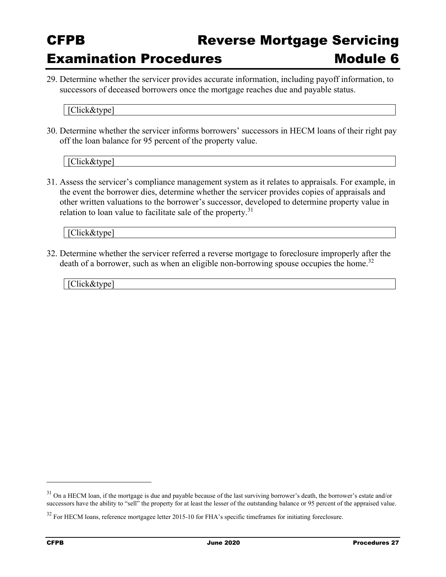29. Determine whether the servicer provides accurate information, including payoff information, to successors of deceased borrowers once the mortgage reaches due and payable status.

[Click&type]

30. Determine whether the servicer informs borrowers' successors in HECM loans of their right pay off the loan balance for 95 percent of the property value.

[Click&type]

31. Assess the servicer's compliance management system as it relates to appraisals. For example, in the event the borrower dies, determine whether the servicer provides copies of appraisals and other written valuations to the borrower's successor, developed to determine property value in relation to loan value to facilitate sale of the property. $31$ 

[Click&type]

32. Determine whether the servicer referred a reverse mortgage to foreclosure improperly after the death of a borrower, such as when an eligible non-borrowing spouse occupies the home.<sup>32</sup>

[Click&type]

<sup>&</sup>lt;sup>31</sup> On a HECM loan, if the mortgage is due and payable because of the last surviving borrower's death, the borrower's estate and/or successors have the ability to "sell" the property for at least the lesser of the outstanding balance or 95 percent of the appraised value.

<sup>&</sup>lt;sup>32</sup> For HECM loans, reference mortgagee letter 2015-10 for FHA's specific timeframes for initiating foreclosure.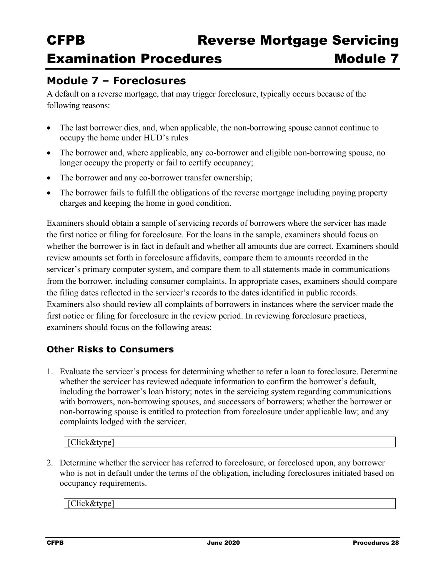## **Module 7 – Foreclosures**

A default on a reverse mortgage, that may trigger foreclosure, typically occurs because of the following reasons:

- The last borrower dies, and, when applicable, the non-borrowing spouse cannot continue to occupy the home under HUD's rules
- The borrower and, where applicable, any co-borrower and eligible non-borrowing spouse, no longer occupy the property or fail to certify occupancy;
- The borrower and any co-borrower transfer ownership;
- The borrower fails to fulfill the obligations of the reverse mortgage including paying property charges and keeping the home in good condition.

Examiners should obtain a sample of servicing records of borrowers where the servicer has made the first notice or filing for foreclosure. For the loans in the sample, examiners should focus on whether the borrower is in fact in default and whether all amounts due are correct. Examiners should review amounts set forth in foreclosure affidavits, compare them to amounts recorded in the servicer's primary computer system, and compare them to all statements made in communications from the borrower, including consumer complaints. In appropriate cases, examiners should compare the filing dates reflected in the servicer's records to the dates identified in public records. Examiners also should review all complaints of borrowers in instances where the servicer made the first notice or filing for foreclosure in the review period. In reviewing foreclosure practices, examiners should focus on the following areas:

## **Other Risks to Consumers**

1. Evaluate the servicer's process for determining whether to refer a loan to foreclosure. Determine whether the servicer has reviewed adequate information to confirm the borrower's default, including the borrower's loan history; notes in the servicing system regarding communications with borrowers, non-borrowing spouses, and successors of borrowers; whether the borrower or non-borrowing spouse is entitled to protection from foreclosure under applicable law; and any complaints lodged with the servicer.

[Click&type]

2. Determine whether the servicer has referred to foreclosure, or foreclosed upon, any borrower who is not in default under the terms of the obligation, including foreclosures initiated based on occupancy requirements.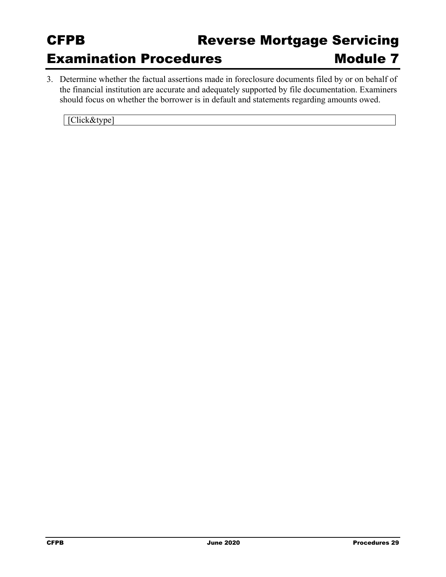3. Determine whether the factual assertions made in foreclosure documents filed by or on behalf of the financial institution are accurate and adequately supported by file documentation. Examiners should focus on whether the borrower is in default and statements regarding amounts owed.